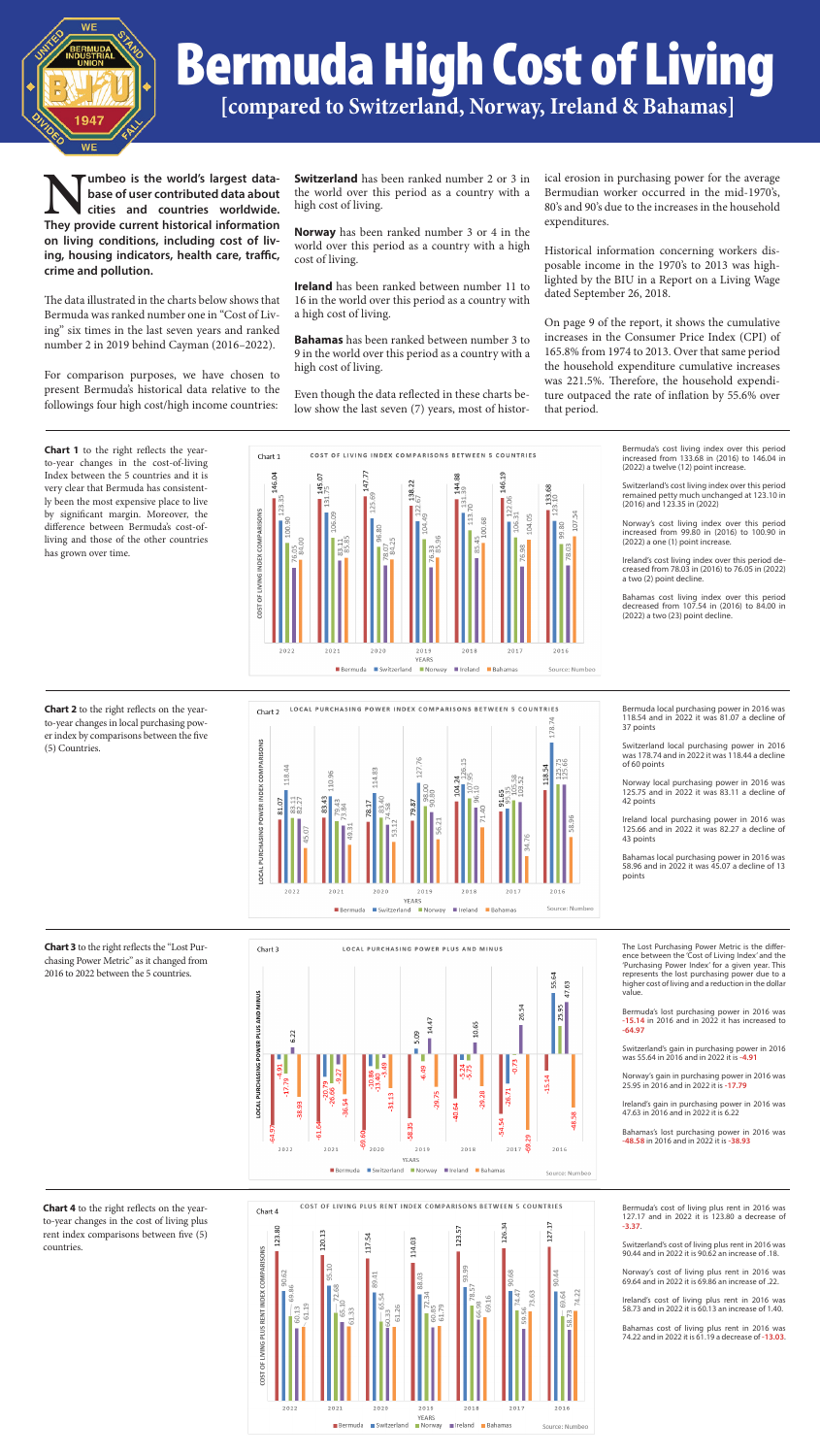

#### **Bermuda High Cost of Living**<br>[compared to Switzerland, Norway, Ireland & Bahamas] conditions, including the cost of living,  $\sim$ Icompared to Cuitzorland Norway Ireland & Debomeel rompar.com Number of the contributed of the social information of the social information of the social information of the conditions, including the cost of the cost of the cost of the cost of the cost of the cost of the cost of the c <u>The data is that the chart sixting in the cost of Cost of Living that  $\mathcal{S}$ </u> **Ecompared** Numbeo is the world's largest database of user contributed data about cities and countries worldwide. They provide current historical information on living conditions, including  $\Gamma$  cost of Li The charts of the sixtimes in the charts of  $\sim$  $\Gamma$  behind the state of

For comparison  $\mathcal{F}_{\mathcal{A}}$  is the chosen of the chosen of the contribution  $\mathcal{F}_{\mathcal{A}}$ 

For comparison  $\mathcal{F}_{\mathcal{A}}$  is the sent of the sent of the sent of the sent of the sent of the sent of the sent of the sent of the sent of the sent of the sent of the sent of the sent of the sent of the sent of the sent

**Numbeo is the world's largest data-**<br>base of user contributed data about<br>cities and countries worldwide.<br>They provide current historical information **base of user contributed data about cities and countries worldwide. on living conditions, including cost of living, housing indicators, health care, traffic, crime and pollution.**

The data illustrated in the charts below shows that Bermuda was ranked number one in "Cost of Living" six times in the last seven years and ranked number 2 in 2019 behind Cayman (2016–2022).

For comparison purposes, we have chosen to present Bermuda's historical data relative to the followings four high cost/high income countries: ome.c

largest data- Switzerland has been ranked number 2 or 3 in ical erosion in purchasing power for the **ed data about** the world over this period as a country with a Bermudian worker occurred in the midhigh cost of living.

al information **Norway** has been ranked number 3 or 4 in the expenditures. **g cost of IIV-** world over this period as a country with a high Historical information concerning workers discost of living. **Example 1** Formation concerning world over this period as a country with a high Historical information concerning workers dis-<br> **Example 1998** 

ical erosion in purchasing power for the average Bermudian worker occurred in the mid-1970's, **Editional about** the world over this period as a country with a "Berlindual worker occurred in the line-1270s,<br>80's and 90's due to the increases in the household expenditures. **I** information

**Ireland** has been ranked between number 11 to  $\frac{1}{2}$  dated September 26, 2018.  $\frac{1}{2}$  cost of nying.<br>  $\frac{1}{2}$  here cost of  $\frac{1}{2}$  and  $\frac{1}{2}$  are  $\frac{1}{2}$  and  $\frac{1}{2}$  and  $\frac{1}{2}$  and  $\frac{1}{2}$  and  $\frac{1}{2}$  and  $\frac{1}{2}$  and  $\frac{1}{2}$  and  $\frac{1}{2}$  and  $\frac{1}{2}$  and  $\frac{1}{2}$  and  $\frac{$ pressure the extraction of the BIU in a Report on a Living Wage lighted by the BIU in a Report on a Living Wage dated September 26, 2018. **n care, tramc,** cost of living.<br>posable income in the 1970's to 2013 was high-

ome countries: low show the last seven (7) years, most of histor- that period. On page 9 of the report, it shows the cumulative ars and ranked<br>(2016, 2022) **Bahamas** has been ranked between number 3 to increases in the Consumer Price Index (CPI) of high cost of living.<br>
the household expenditure cumulative increases<br>
the household expenditure cumulative increases ave chosen to<br>was 221.5%. Therefore, the household expendi-<br>relative to the relative to the Even though the data reflected in these charts be-<br>remeased the rate of inflation by 55.6% over that period.

Even though the data reflected in these charts be-

elow shows that 16 in the world over this period as a country with  $\frac{1}{\sqrt{2}}$  and  $\frac{1}{\sqrt{2}}$  was the  $\frac{1}{\sqrt{2}}$ a high cost of living. Historical information concerning workers disposal income in the 1970's to 2013 was highlighted by the BIU in a Report on a Living Wage dated September 26, 

 $\frac{1}{2016-2022}$  **Bahamas** has been ranked between number 3 to Increases in the Consumer Price Index (CPI) of 9 in the world over this period as a country with a  $165.8\%$  from 1974 to 2013. Over that same period high cost of living.  $(2016-2022)$ . **Demaines** has been failted between number 3 to  $\frac{30}{100}$  and  $\frac{300}{100}$  and  $\frac{300}{100}$  and  $\frac{300}{100}$  and  $\frac{300}{100}$  and  $\frac{300}{100}$  and  $\frac{300}{100}$  and  $\frac{300}{100}$  and  $\frac{300}{100}$  a



2022 2021  $2020$ 2019 2016  $2018$  $2017$ **YEARS** Bermuda Switzerland Norway Ireland Bahamas Source: Numbeo Chart 3 below reflects the "Lost Purchasing Power Metric" as it changed from 2016 to 2022 between the 5 countries.



increased from 133.68 in (2016) to 146.04 in<br>(2022) a turbline (12) point increased  $(2022)$  a twelve  $(12)$  point increase.  $\mathcal{L}(\mathcal{L}(\mathcal{L}(\mathcal{L}(\mathcal{L}(\mathcal{L}(\mathcal{L}(\mathcal{L}(\mathcal{L}(\mathcal{L}(\mathcal{L}(\mathcal{L}(\mathcal{L}(\mathcal{L}(\mathcal{L}(\mathcal{L}(\mathcal{L}(\mathcal{L}(\mathcal{L}(\mathcal{L}(\mathcal{L}(\mathcal{L}(\mathcal{L}(\mathcal{L}(\mathcal{L}(\mathcal{L}(\mathcal{L}(\mathcal{L}(\mathcal{L}(\mathcal{L}(\mathcal{L}(\mathcal{L}(\mathcal{L}(\mathcal{L}(\mathcal{L}(\mathcal{L}(\mathcal{$  $145$  COSt fiving muex over this pendu. Switzerland's with the state of the continued of the continued of the state of the continued of the continued of the continued of the continued of the continued of the continued of the continued of the continued of the con Bermuda's cost living index over this period

 $\mathcal{L} = \{ \mathcal{L} \mid \mathcal{L} \in \mathcal{L} \}$  is a periodic index of  $\mathcal{L} = \{ \mathcal{L} \mid \mathcal{L} \in \mathcal{L} \}$ 

 $B_{\rm{max}}$  in  $2\pi$  ,  $2\pi$  ,  $2\pi$  ,  $2\pi$  ,  $2\pi$  ,  $2\pi$  ,  $2\pi$  .  $2\pi$ 

Switzerland's cost living index over this period remained petty much unchanged at 123.10 in<br>(2016) and 123.35 in (2022)  $(2016)$  and 123.35 in  $(2022)$ 

 $\gamma$ 's cost living index over this period increased from 99.80 in (2016) to 100.90 in  $\frac{1}{2022}$  a one (1) point increase. Norway's cost living index over this period

Ireland's cost living index over this period de- $\frac{1}{20}$  cost  $\frac{1}{20}$  and  $\frac{1}{20}$  cost  $\frac{1}{20}$  costs of from 78.03 in (2016) to 76.05 in (2022) a two (2) point decline.

Bahamas cost living index over this period decreased from 107.54 in (2016) to 84.00 in (2022) a two (23) point decline.

Bermuda local purchasing power in 2016 was 118.54 and in 2022 it was 81.07 a decline of  $\frac{37}{27}$  points  $\mathcal{S}$ 37 points

and local purchasing power in 2016 was 178.74 and in 2022 it was 118.44 a decline<br>of 60 points of 60 points Switzerland local purchasing power in 2016

125.75 and in 2022 it was 83.11 a decline of Norway local purchasing power in 2016 was  $\mathbf{S}$ 42 points

 $125.66$  and in 2022 it was 82.27 a decline of Ireland local purchasing power in 2016 was 43 points

Bahamas local purchasing power in 2016 was<br> $\frac{58.06}{10}$ 

 $58.96$  and in 2022 it was 45.07 a decline of 13 points points

represents the lost purchasing power due to a higher cost of living and a reduction in the dollar ence between the 'Cost of Living Index' and the value.

 $-15.14$  in 2016 and in 2022 it has increased to Bermuda's lost purchasing power in 2016 was **-64.97** 

Switzerland's gain in purchasing power in 2016 was 55.64 in 2016 and in 2022 it is **-4.91** 

25.95 in 2016 and in 2022 it is **-17.79** Norway's gain in purchasing power in 2016 was

47.63 in 2016 and in 2022 it is 6.22 Ireland's gain in purchasing power in 2016 was

Bermuda's cost of living plus rent in 2016 was 127.17 and in 2022 it is 123.80 a decrease of **-3.37**.

 $\mathcal{S}$  with  $\mathcal{S}$  and  $\mathcal{S}$  and  $\mathcal{S}$  it is exactly and  $\mathcal{S}$ Switzerland's cost of living plus rent in 2016 was 90.44 and in 2022 it is 90.62 an increase of .18.

Norway's cost of living plus rent in 2016 was  $\frac{1}{200}$  and in 2022 it is 69.86 an increase of .22.

Ireland's cost of living plus rent in 2016 was 58.73 and in 2022 it is 60.13 an increase of 1.40.

Bahamas cost of living plus rent in 2016 was 74.22 and in 2022 it is 61.19 a decrease of -13.03.



**Chart 1** to the right reflects the yearto-year changes in the cost-of-living Index between the 5 countries and it is very clear that Bermuda has consistently been the most expensive place to live by significant margin. Moreover, the difference between Bermuda's cost-ofliving and those of the other countries has grown over time.

**Chart 2** to the right reflects on the yearto-year changes in local purchasing power index by comparisons between the five (5) Countries.

**Chart 3** to the right reflects the "Lost Purchasing Power Metric" as it changed from 2016 to 2022 between the 5 countries.

**Chart 4** to the right reflects on the yearto-year changes in the cost of living plus rent index comparisons between five (5) countries.



Bahamas's lost purchasing power in 2016 was **-48.58** in 2016 and in 2022 it is **-38.93**